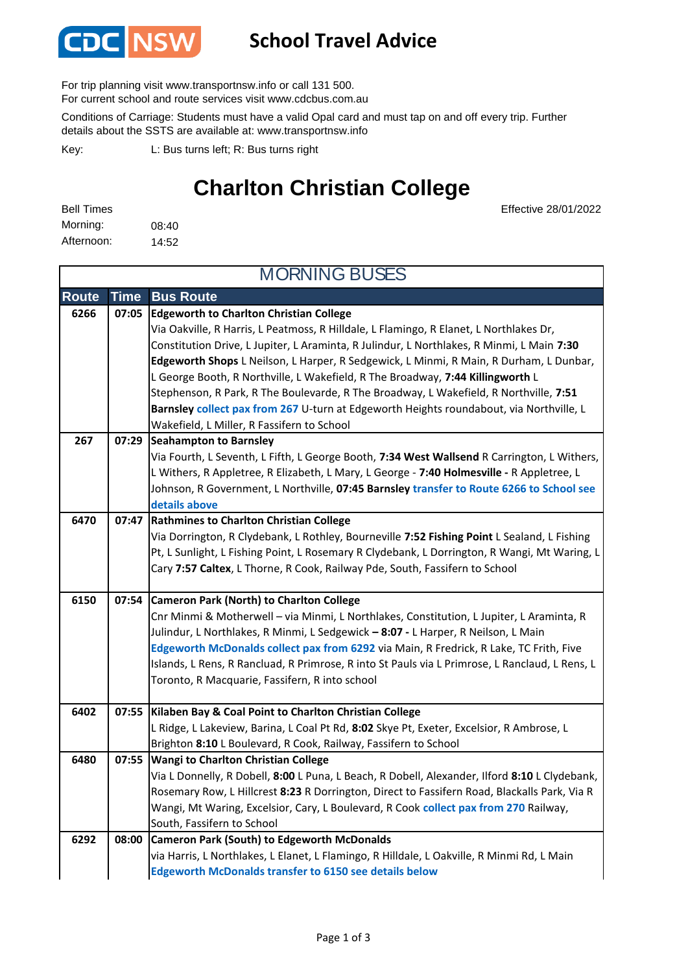

### **School Travel Advice**

For trip planning visit www.transportnsw.info or call 131 500.

For current school and route services visit www.cdcbus.com.au

Conditions of Carriage: Students must have a valid Opal card and must tap on and off every trip. Further details about the SSTS are available at: www.transportnsw.info

L: Bus turns left; R: Bus turns right Key:

# **Charlton Christian College**

08:40 14:52 Afternoon: Bell Times Morning:

Effective 28/01/2022

| <b>MORNING BUSES</b> |             |                                                                                                                                                                                                                                                                                                                                                                                                                                                                                                                                                                                                                                                     |  |  |
|----------------------|-------------|-----------------------------------------------------------------------------------------------------------------------------------------------------------------------------------------------------------------------------------------------------------------------------------------------------------------------------------------------------------------------------------------------------------------------------------------------------------------------------------------------------------------------------------------------------------------------------------------------------------------------------------------------------|--|--|
| <b>Route</b>         | <b>Time</b> | <b>Bus Route</b>                                                                                                                                                                                                                                                                                                                                                                                                                                                                                                                                                                                                                                    |  |  |
| 6266                 | 07:05       | <b>Edgeworth to Charlton Christian College</b><br>Via Oakville, R Harris, L Peatmoss, R Hilldale, L Flamingo, R Elanet, L Northlakes Dr,<br>Constitution Drive, L Jupiter, L Araminta, R Julindur, L Northlakes, R Minmi, L Main 7:30<br>Edgeworth Shops L Neilson, L Harper, R Sedgewick, L Minmi, R Main, R Durham, L Dunbar,<br>L George Booth, R Northville, L Wakefield, R The Broadway, 7:44 Killingworth L<br>Stephenson, R Park, R The Boulevarde, R The Broadway, L Wakefield, R Northville, 7:51<br>Barnsley collect pax from 267 U-turn at Edgeworth Heights roundabout, via Northville, L<br>Wakefield, L Miller, R Fassifern to School |  |  |
| 267                  | 07:29       | <b>Seahampton to Barnsley</b><br>Via Fourth, L Seventh, L Fifth, L George Booth, 7:34 West Wallsend R Carrington, L Withers,<br>L Withers, R Appletree, R Elizabeth, L Mary, L George - 7:40 Holmesville - R Appletree, L<br>Johnson, R Government, L Northville, 07:45 Barnsley transfer to Route 6266 to School see<br>details above                                                                                                                                                                                                                                                                                                              |  |  |
| 6470                 | 07:47       | <b>Rathmines to Charlton Christian College</b><br>Via Dorrington, R Clydebank, L Rothley, Bourneville 7:52 Fishing Point L Sealand, L Fishing<br>Pt, L Sunlight, L Fishing Point, L Rosemary R Clydebank, L Dorrington, R Wangi, Mt Waring, L<br>Cary 7:57 Caltex, L Thorne, R Cook, Railway Pde, South, Fassifern to School                                                                                                                                                                                                                                                                                                                        |  |  |
| 6150                 | 07:54       | <b>Cameron Park (North) to Charlton College</b><br>Cnr Minmi & Motherwell - via Minmi, L Northlakes, Constitution, L Jupiter, L Araminta, R<br>Julindur, L Northlakes, R Minmi, L Sedgewick - 8:07 - L Harper, R Neilson, L Main<br>Edgeworth McDonalds collect pax from 6292 via Main, R Fredrick, R Lake, TC Frith, Five<br>Islands, L Rens, R Rancluad, R Primrose, R into St Pauls via L Primrose, L Ranclaud, L Rens, L<br>Toronto, R Macquarie, Fassifern, R into school                                                                                                                                                                      |  |  |
| 6402                 | 07:55       | Kilaben Bay & Coal Point to Charlton Christian College<br>L Ridge, L Lakeview, Barina, L Coal Pt Rd, 8:02 Skye Pt, Exeter, Excelsior, R Ambrose, L<br>Brighton 8:10 L Boulevard, R Cook, Railway, Fassifern to School                                                                                                                                                                                                                                                                                                                                                                                                                               |  |  |
| 6480                 | 07:55       | Wangi to Charlton Christian College<br>Via L Donnelly, R Dobell, 8:00 L Puna, L Beach, R Dobell, Alexander, Ilford 8:10 L Clydebank,<br>Rosemary Row, L Hillcrest 8:23 R Dorrington, Direct to Fassifern Road, Blackalls Park, Via R<br>Wangi, Mt Waring, Excelsior, Cary, L Boulevard, R Cook collect pax from 270 Railway,<br>South, Fassifern to School                                                                                                                                                                                                                                                                                          |  |  |
| 6292                 | 08:00       | <b>Cameron Park (South) to Edgeworth McDonalds</b><br>via Harris, L Northlakes, L Elanet, L Flamingo, R Hilldale, L Oakville, R Minmi Rd, L Main<br><b>Edgeworth McDonalds transfer to 6150 see details below</b>                                                                                                                                                                                                                                                                                                                                                                                                                                   |  |  |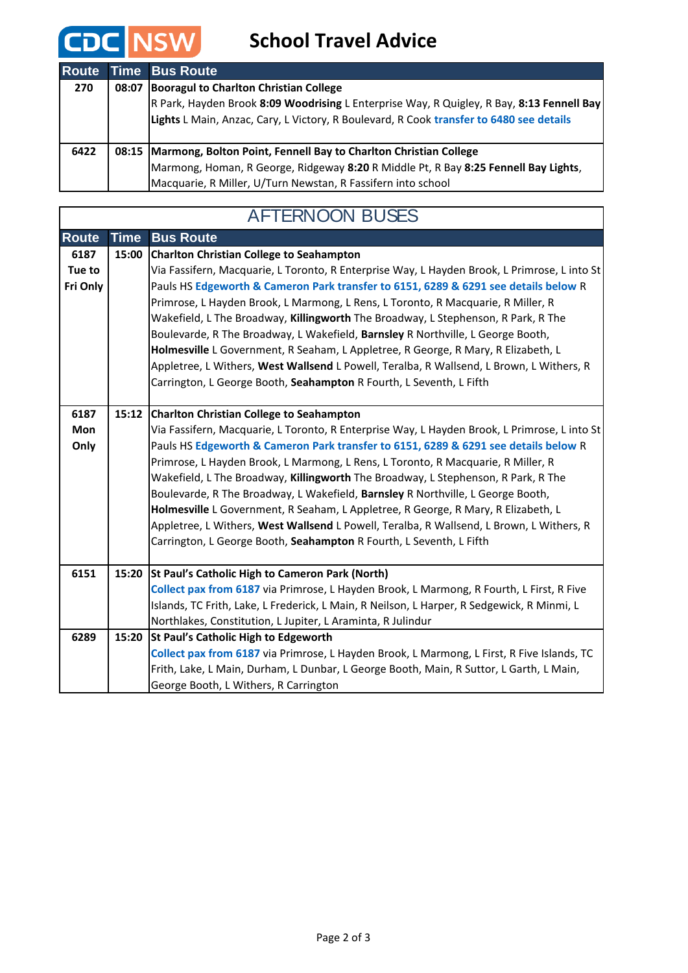

 $\sqrt{ }$ 

### **School Travel Advice**

| <b>Route</b> | <b>Time Bus Route</b>                                                                                                                                                                                                                |
|--------------|--------------------------------------------------------------------------------------------------------------------------------------------------------------------------------------------------------------------------------------|
| 270          | 08:07 Booragul to Charlton Christian College<br>R Park, Hayden Brook 8:09 Woodrising L Enterprise Way, R Quigley, R Bay, 8:13 Fennell Bay<br>Lights L Main, Anzac, Cary, L Victory, R Boulevard, R Cook transfer to 6480 see details |
|              |                                                                                                                                                                                                                                      |
| 6422         | 08:15   Marmong, Bolton Point, Fennell Bay to Charlton Christian College                                                                                                                                                             |
|              | Marmong, Homan, R George, Ridgeway 8:20 R Middle Pt, R Bay 8:25 Fennell Bay Lights,                                                                                                                                                  |
|              | Macquarie, R Miller, U/Turn Newstan, R Fassifern into school                                                                                                                                                                         |

## AFTERNOON BUSES

| <b>Route</b> | <b>Time</b> | <b>Bus Route</b>                                                                             |
|--------------|-------------|----------------------------------------------------------------------------------------------|
| 6187         | 15:00       | <b>Charlton Christian College to Seahampton</b>                                              |
| Tue to       |             | Via Fassifern, Macquarie, L Toronto, R Enterprise Way, L Hayden Brook, L Primrose, L into St |
| Fri Only     |             | Pauls HS Edgeworth & Cameron Park transfer to 6151, 6289 & 6291 see details below R          |
|              |             | Primrose, L Hayden Brook, L Marmong, L Rens, L Toronto, R Macquarie, R Miller, R             |
|              |             | Wakefield, L The Broadway, Killingworth The Broadway, L Stephenson, R Park, R The            |
|              |             | Boulevarde, R The Broadway, L Wakefield, Barnsley R Northville, L George Booth,              |
|              |             | Holmesville L Government, R Seaham, L Appletree, R George, R Mary, R Elizabeth, L            |
|              |             | Appletree, L Withers, West Wallsend L Powell, Teralba, R Wallsend, L Brown, L Withers, R     |
|              |             | Carrington, L George Booth, Seahampton R Fourth, L Seventh, L Fifth                          |
|              |             |                                                                                              |
| 6187         | 15:12       | <b>Charlton Christian College to Seahampton</b>                                              |
| Mon          |             | Via Fassifern, Macquarie, L Toronto, R Enterprise Way, L Hayden Brook, L Primrose, L into St |
| Only         |             | Pauls HS Edgeworth & Cameron Park transfer to 6151, 6289 & 6291 see details below R          |
|              |             | Primrose, L Hayden Brook, L Marmong, L Rens, L Toronto, R Macquarie, R Miller, R             |
|              |             | Wakefield, L The Broadway, Killingworth The Broadway, L Stephenson, R Park, R The            |
|              |             | Boulevarde, R The Broadway, L Wakefield, Barnsley R Northville, L George Booth,              |
|              |             | Holmesville L Government, R Seaham, L Appletree, R George, R Mary, R Elizabeth, L            |
|              |             | Appletree, L Withers, West Wallsend L Powell, Teralba, R Wallsend, L Brown, L Withers, R     |
|              |             | Carrington, L George Booth, Seahampton R Fourth, L Seventh, L Fifth                          |
|              |             |                                                                                              |
| 6151         | 15:20       | St Paul's Catholic High to Cameron Park (North)                                              |
|              |             | Collect pax from 6187 via Primrose, L Hayden Brook, L Marmong, R Fourth, L First, R Five     |
|              |             | Islands, TC Frith, Lake, L Frederick, L Main, R Neilson, L Harper, R Sedgewick, R Minmi, L   |
|              |             | Northlakes, Constitution, L Jupiter, L Araminta, R Julindur                                  |
| 6289         |             | 15:20 St Paul's Catholic High to Edgeworth                                                   |
|              |             | Collect pax from 6187 via Primrose, L Hayden Brook, L Marmong, L First, R Five Islands, TC   |
|              |             | Frith, Lake, L Main, Durham, L Dunbar, L George Booth, Main, R Suttor, L Garth, L Main,      |
|              |             | George Booth, L Withers, R Carrington                                                        |